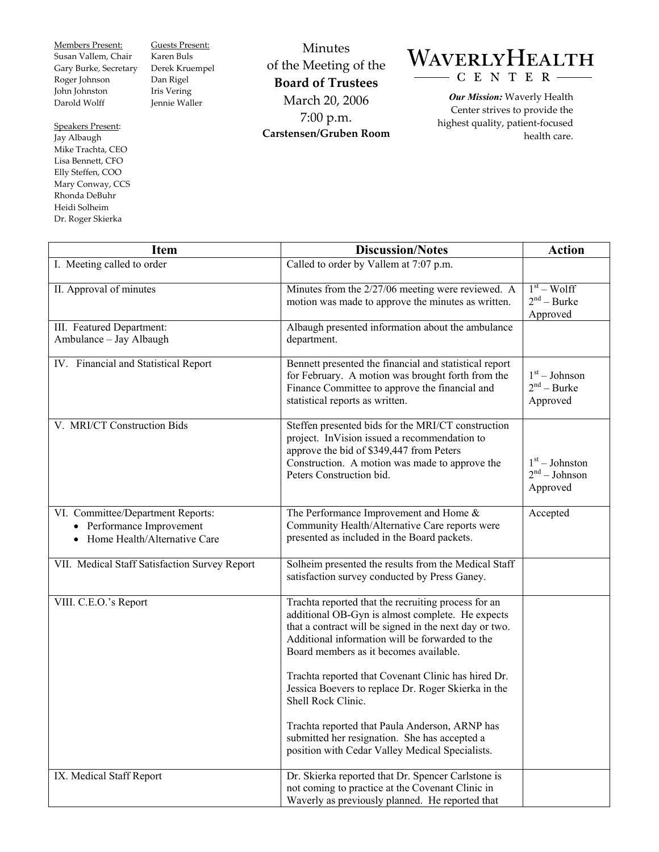Members Present: Susan Vallem, Chair Gary Burke, Secretary Roger Johnson John Johnston Darold Wolff

Speakers Present: Jay Albaugh Mike Trachta, CEO Lisa Bennett, CFO Elly Steffen, COO Mary Conway, CCS Rhonda DeBuhr Heidi Solheim Dr. Roger Skierka

Guests Present: Karen Buls Derek Kruempel Dan Rigel Iris Vering Jennie Waller

Minutes of the Meeting of the **Board of Trustees**  March 20, 2006 7:00 p.m. **Carstensen/Gruben Room** 

## WAVERLYHEALTH CENTER-

*Our Mission:* Waverly Health Center strives to provide the highest quality, patient-focused health care.

| <b>Item</b>                                                                                    | <b>Discussion/Notes</b>                                                                                                                                                                                                                                                                                                                                                                                                                                                                                                                                  | <b>Action</b>                                   |
|------------------------------------------------------------------------------------------------|----------------------------------------------------------------------------------------------------------------------------------------------------------------------------------------------------------------------------------------------------------------------------------------------------------------------------------------------------------------------------------------------------------------------------------------------------------------------------------------------------------------------------------------------------------|-------------------------------------------------|
| I. Meeting called to order                                                                     | Called to order by Vallem at 7:07 p.m.                                                                                                                                                                                                                                                                                                                                                                                                                                                                                                                   |                                                 |
| II. Approval of minutes                                                                        | Minutes from the 2/27/06 meeting were reviewed. A<br>motion was made to approve the minutes as written.                                                                                                                                                                                                                                                                                                                                                                                                                                                  | $1st - Wolf$<br>$2nd - Burke$<br>Approved       |
| III. Featured Department:<br>Ambulance - Jay Albaugh                                           | Albaugh presented information about the ambulance<br>department.                                                                                                                                                                                                                                                                                                                                                                                                                                                                                         |                                                 |
| IV. Financial and Statistical Report                                                           | Bennett presented the financial and statistical report<br>for February. A motion was brought forth from the<br>Finance Committee to approve the financial and<br>statistical reports as written.                                                                                                                                                                                                                                                                                                                                                         | $1st - Johnson$<br>$2nd - Burke$<br>Approved    |
| V. MRI/CT Construction Bids                                                                    | Steffen presented bids for the MRI/CT construction<br>project. InVision issued a recommendation to<br>approve the bid of \$349,447 from Peters<br>Construction. A motion was made to approve the<br>Peters Construction bid.                                                                                                                                                                                                                                                                                                                             | $1st - Johnston$<br>$2nd - Johnson$<br>Approved |
| VI. Committee/Department Reports:<br>• Performance Improvement<br>Home Health/Alternative Care | The Performance Improvement and Home &<br>Community Health/Alternative Care reports were<br>presented as included in the Board packets.                                                                                                                                                                                                                                                                                                                                                                                                                  | Accepted                                        |
| VII. Medical Staff Satisfaction Survey Report                                                  | Solheim presented the results from the Medical Staff<br>satisfaction survey conducted by Press Ganey.                                                                                                                                                                                                                                                                                                                                                                                                                                                    |                                                 |
| VIII. C.E.O.'s Report                                                                          | Trachta reported that the recruiting process for an<br>additional OB-Gyn is almost complete. He expects<br>that a contract will be signed in the next day or two.<br>Additional information will be forwarded to the<br>Board members as it becomes available.<br>Trachta reported that Covenant Clinic has hired Dr.<br>Jessica Boevers to replace Dr. Roger Skierka in the<br>Shell Rock Clinic.<br>Trachta reported that Paula Anderson, ARNP has<br>submitted her resignation. She has accepted a<br>position with Cedar Valley Medical Specialists. |                                                 |
| IX. Medical Staff Report                                                                       | Dr. Skierka reported that Dr. Spencer Carlstone is<br>not coming to practice at the Covenant Clinic in<br>Waverly as previously planned. He reported that                                                                                                                                                                                                                                                                                                                                                                                                |                                                 |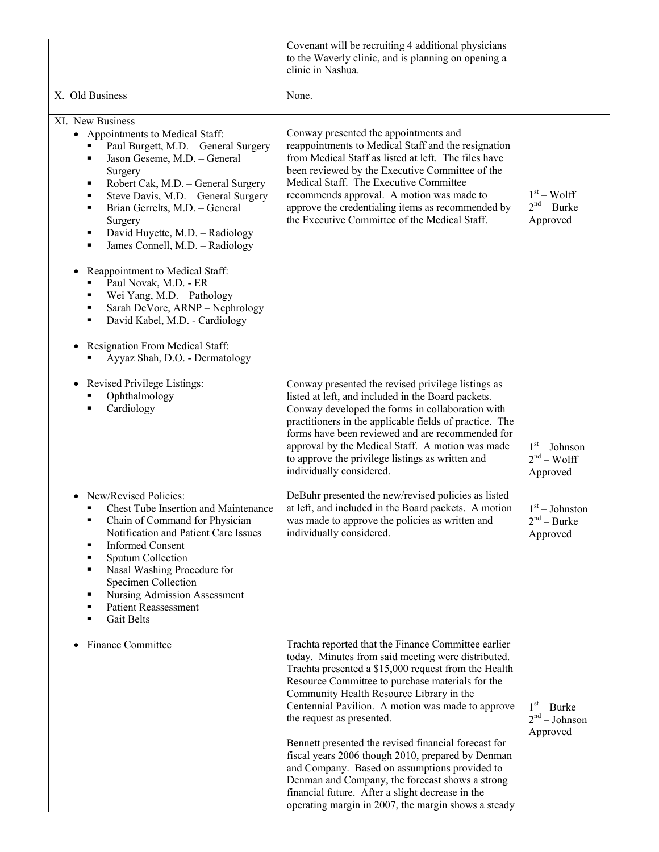|                                                                                                                                                                                                                                                                                                                                                                                                                                                                                                                                                                                                  | Covenant will be recruiting 4 additional physicians<br>to the Waverly clinic, and is planning on opening a<br>clinic in Nashua.                                                                                                                                                                                                                                                                                                                                                                                                                                                                                                                                                 |                                                                                              |
|--------------------------------------------------------------------------------------------------------------------------------------------------------------------------------------------------------------------------------------------------------------------------------------------------------------------------------------------------------------------------------------------------------------------------------------------------------------------------------------------------------------------------------------------------------------------------------------------------|---------------------------------------------------------------------------------------------------------------------------------------------------------------------------------------------------------------------------------------------------------------------------------------------------------------------------------------------------------------------------------------------------------------------------------------------------------------------------------------------------------------------------------------------------------------------------------------------------------------------------------------------------------------------------------|----------------------------------------------------------------------------------------------|
| X. Old Business                                                                                                                                                                                                                                                                                                                                                                                                                                                                                                                                                                                  | None.                                                                                                                                                                                                                                                                                                                                                                                                                                                                                                                                                                                                                                                                           |                                                                                              |
| XI. New Business<br>• Appointments to Medical Staff:<br>Paul Burgett, M.D. - General Surgery<br>Jason Geseme, M.D. - General<br>٠<br>Surgery<br>Robert Cak, M.D. - General Surgery<br>٠<br>Steve Davis, M.D. - General Surgery<br>٠<br>Brian Gerrelts, M.D. - General<br>٠<br>Surgery<br>David Huyette, M.D. - Radiology<br>٠<br>James Connell, M.D. - Radiology<br>٠<br>Reappointment to Medical Staff:<br>Paul Novak, M.D. - ER<br>٠<br>Wei Yang, M.D. - Pathology<br>٠<br>Sarah DeVore, ARNP - Nephrology<br>٠<br>David Kabel, M.D. - Cardiology<br>٠<br>Resignation From Medical Staff:<br>٠ | Conway presented the appointments and<br>reappointments to Medical Staff and the resignation<br>from Medical Staff as listed at left. The files have<br>been reviewed by the Executive Committee of the<br>Medical Staff. The Executive Committee<br>recommends approval. A motion was made to<br>approve the credentialing items as recommended by<br>the Executive Committee of the Medical Staff.                                                                                                                                                                                                                                                                            | $1st - Wolf$<br>$2nd$ – Burke<br>Approved                                                    |
| Ayyaz Shah, D.O. - Dermatology<br>Revised Privilege Listings:<br>$\bullet$<br>Ophthalmology<br>Cardiology<br>New/Revised Policies:<br>Chest Tube Insertion and Maintenance<br>Chain of Command for Physician<br>Notification and Patient Care Issues<br><b>Informed Consent</b><br>٠<br>Sputum Collection<br>٠<br>Nasal Washing Procedure for<br>٠<br>Specimen Collection<br><b>Nursing Admission Assessment</b><br>٠<br><b>Patient Reassessment</b><br>٠<br><b>Gait Belts</b><br>٠                                                                                                              | Conway presented the revised privilege listings as<br>listed at left, and included in the Board packets.<br>Conway developed the forms in collaboration with<br>practitioners in the applicable fields of practice. The<br>forms have been reviewed and are recommended for<br>approval by the Medical Staff. A motion was made<br>to approve the privilege listings as written and<br>individually considered.<br>DeBuhr presented the new/revised policies as listed<br>at left, and included in the Board packets. A motion<br>was made to approve the policies as written and<br>individually considered.                                                                   | $1st - Johnson$<br>$2nd - Wolf$<br>Approved<br>$1st - Johnston$<br>$2nd - Burke$<br>Approved |
| <b>Finance Committee</b>                                                                                                                                                                                                                                                                                                                                                                                                                                                                                                                                                                         | Trachta reported that the Finance Committee earlier<br>today. Minutes from said meeting were distributed.<br>Trachta presented a \$15,000 request from the Health<br>Resource Committee to purchase materials for the<br>Community Health Resource Library in the<br>Centennial Pavilion. A motion was made to approve<br>the request as presented.<br>Bennett presented the revised financial forecast for<br>fiscal years 2006 though 2010, prepared by Denman<br>and Company. Based on assumptions provided to<br>Denman and Company, the forecast shows a strong<br>financial future. After a slight decrease in the<br>operating margin in 2007, the margin shows a steady | $1st - Burke$<br>$2nd - Johnson$<br>Approved                                                 |